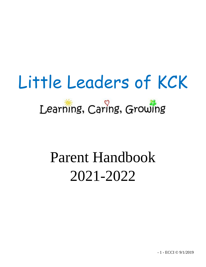# Little Leaders of KCK Learning, Caring, Growing

# Parent Handbook 2021-2022

- 1 - ECCI © 9/1/2019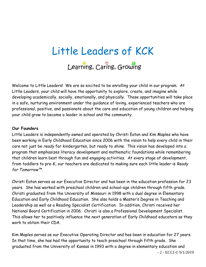### Little Leaders of KCK Learning, Caring, Growing

Welcome to Little Leaders! We are so excited to be enrolling your child in our program. At Little Leaders, your child will have the opportunity to explore, create, and imagine while developing academically, socially, emotionally, and physically. These opportunities will take place in a safe, nurturing environment under the guidance of loving, experienced teachers who are professional, positive, and passionate about the care and education of young children and helping your child grow to become a leader in school and the community.

#### **Our Founders**

Little Leaders is independently owned and operated by Christi Eaton and Kim Maples who have been working in Early Childhood Education since 2006 with the vision to help every child in their care not just be *ready* for kindergarten, but ready to *shine*. This vision has developed into a program that emphasizes literacy development and mathematic foundations while remembering that children learn best through fun and engaging activities. At every stage of development, from toddlers to pre-K, our teachers are dedicated to making sure each little leader is *Ready for Tomorrow™*.

Christi Eaton serves as our Executive Director and has been in the education profession for 23 years. She has worked with preschool children and school-age children through fifth grade. Christi graduated from the University of Missouri in 1998 with a dual degree in Elementary Education and Early Childhood Education. She also holds a Master's Degree in Teaching and Leadership as well as a Reading Specialist Certification. In addition, Christi received her National Board Certification in 2006. Christi is also a Professional Development Specialist. This allows her to positively influence the next generation of Early Childhood educators as they work to obtain their CDA.

- 2 - ECCI © 9/1/2019 Kim Maples serves as our Executive Operating Director and has been in education for 27 years. In that time, she has had the opportunity to teach preschool through fifth grade. She graduated from the University of Kansas in 1993 with a degree in elementary education and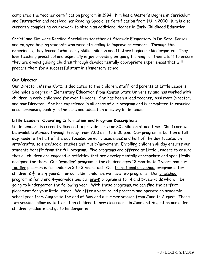completed the teacher certification program in 1994. Kim has a Master's Degree in Curriculum and Instruction and received her Reading Specialist Certification from KU in 2000. Kim is also currently completing coursework to obtain an additional degree in Early Childhood Education.

Christi and Kim were Reading Specialists together at Starside Elementary in De Soto, Kansas and enjoyed helping students who were struggling to improve as readers. Through this experience, they learned what early skills children need before beginning kindergarten. They love teaching preschool and especially enjoy providing on-going training for their staff to ensure they are always guiding children through developmentally appropriate experiences that will prepare them for a successful start in elementary school.

#### **Our Director**

Our Director, Mesha Klotz, is dedicated to the children, staff, and parents at Little Leaders. She holds a degree in Elementary Education from Kansas State University and has worked with children in early childhood for over 14 years. She has been a lead teacher, Assistant Director, and now Director. She has experience in all areas of our program and is committed to ensuring uncompromising quality in the care and education of every little leader.

#### **Little Leaders' Operating Information and Program Descriptions**

Little Leaders is currently licensed to provide care for 80 children at one time. Child care will be available Monday through Friday from 7:00 a.m. to 6:00 p.m. Our program is built on a **full day model** with half of the day focused on early academics and half of the day focused on arts/crafts, science/social studies and music/movement. Enrolling children all day ensures our students benefit from the full program. Five programs are offered at Little Leaders to ensure that all children are engaged in activities that are developmentally appropriate and specifically designed for them. Our "waddler" program is for children ages 12 months to 2 years and our toddler program is for children 2 to 3-years-old. Our transitional preschool program is for children 2  $\frac{1}{2}$  to 3  $\frac{1}{2}$  years. For our older children, we have two programs. Our preschool program is for 3 and 4-year-olds and our pre-K program is for 4 and 5-year-olds who will be going to kindergarten the following year. With these programs, we can find the perfect placement for your little leader. We offer a year-round program and operate an academic school year from August to the end of May and a summer session from June to August. These two sessions allow us to transition children to new classrooms in June and August as our older children graduate and go to kindergarten.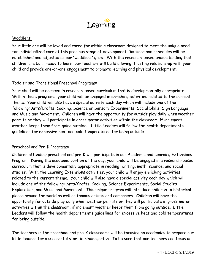

#### Waddlers:

Your little one will be loved and cared for within a classroom designed to meet the unique need for individualized care at this precious stage of development. Routines and schedules will be established and adjusted as our "waddlers" grow. With the research-based understanding that children are born ready to learn, our teachers will build a loving, trusting relationship with your child and provide one-on-one engagement to promote learning and physical development.

#### Toddler and Transitional Preschool Programs:

Your child will be engaged in research-based curriculum that is developmentally appropriate. Within these programs, your child will be engaged in enriching activities related to the current theme. Your child will also have a special activity each day which will include one of the following: Arts/Crafts, Cooking, Science or Sensory Experiments, Social Skills, Sign Language, and Music and Movement. Children will have the opportunity for outside play daily when weather permits or they will participate in gross motor activities within the classroom, if inclement weather keeps them from going outside. Little Leaders will follow the health department's guidelines for excessive heat and cold temperatures for being outside.

#### Preschool and Pre-K Programs:

Children attending preschool and pre-K will participate in our Academic and Learning Extensions Program. During the academic portion of the day, your child will be engaged in a research-based curriculum that is developmentally appropriate in reading, writing, math, science, and social studies. With the Learning Extensions activities, your child will enjoy enriching activities related to the current theme. Your child will also have a special activity each day which will include one of the following: Arts/Crafts, Cooking, Science Experiments, Social Studies Exploration, and Music and Movement. This unique program will introduce children to historical places around the world as well as famous artists and composers. Children will have the opportunity for outside play daily when weather permits or they will participate in gross motor activities within the classroom, if inclement weather keeps them from going outside. Little Leaders will follow the health department's guidelines for excessive heat and cold temperatures for being outside.

The teachers in the preschool and pre-K classrooms will be focusing on academics to prepare our little leaders for a successful start in kindergarten. To be sure that our teachers can focus on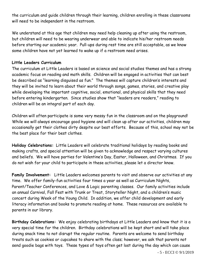the curriculum and guide children through their learning, children enrolling in these classrooms will need to be independent in the restroom.

We understand at this age that children may need help cleaning up after using the restroom, but children will need to be wearing underwear and able to indicate his/her restroom needs before starting our academic year. Pull-ups during rest time are still acceptable, as we know some children have not yet learned to wake up if a restroom need arises.

#### **Little Leaders Curriculum**

The curriculum at Little Leaders is based on science and social studies themes and has a strong academic focus on reading and math skills. Children will be engaged in activities that can best be described as "learning disguised as fun." The themes will capture children's interests and they will be invited to learn about their world through songs, games, stories, and creative play while developing the important cognitive, social, emotional, and physical skills that they need before entering kindergarten. Since studies show that "leaders are readers," reading to children will be an integral part of each day.

Children will often participate is some very messy fun in the classroom and on the playground! While we will always encourage good hygiene and will clean up after our activities, children may occasionally get their clothes dirty despite our best efforts. Because of this, school may not be the best place for their best clothes.

**Holiday Celebrations:** Little Leaders will celebrate traditional holidays by reading books and making crafts, and special attention will be given to acknowledge and respect varying cultures and beliefs. We will have parties for Valentine's Day, Easter, Halloween, and Christmas. If you do not wish for your child to participate in these activities, please let a director know.

**Family Involvement:** Little Leaders welcomes parents to visit and observe our activities at any time. We offer family-fun activities four times a year as well as Curriculum Nights, Parent/Teacher Conferences, and Love & Logic parenting classes. Our family activities include an annual Carnival, Fall Fest with Trunk or Treat, Storyteller Night, and a children's music concert during Week of the Young Child. In addition, we offer child development and early literacy information and books to promote reading at home. These resources are available to parents in our library.

**Birthday Celebrations:** We enjoy celebrating birthdays at Little Leaders and know that it is a very special time for the children. Birthday celebrations will be kept short and will take place during snack time to not disrupt the regular routine. Parents are welcome to send birthday treats such as cookies or cupcakes to share with the class; however, we ask that parents not send goodie bags with toys. These types of toys often get lost during the day which can cause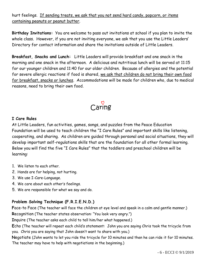hurt feelings. If sending treats, we ask that you not send hard candy, popcorn, or items containing peanuts or peanut butter.

**Birthday Invitations:** You are welcome to pass out invitations at school if you plan to invite the whole class. However, if you are not inviting everyone, we ask that you use the Little Leaders' Directory for contact information and share the invitations outside of Little Leaders.

**Breakfast, Snacks and Lunch:** Little Leaders will provide breakfast and one snack in the morning and one snack in the afternoon. A delicious and nutritious lunch will be served at 11:15 for our younger children and 11:40 for our older children. Because of allergies and the potential for severe allergic reactions if food is shared, we ask that children do not bring their own food for breakfast, snacks or lunches. Accommodations will be made for children who, due to medical reasons, need to bring their own food.



#### **I Care Rules**

At Little Leaders, fun activities, games, songs, and puzzles from the Peace Education Foundation will be used to teach children the "I Care Rules" and important skills like listening, cooperating, and sharing. As children are guided through personal and social situations, they will develop important self-regulations skills that are the foundation for all other formal learning. Below you will find the five "I Care Rules" that the toddlers and preschool children will be learning:

- 1. We listen to each other.
- 2. Hands are for helping, not hurting.
- 3. We use I-Care-Language.
- 4. We care about each other's feelings.
- 5. We are responsible for what we say and do.

#### **Problem Solving Technique (F.R.I.E.N.D.)**

**F**ace-to Face (The teacher will face the children at eye level and speak in a calm and gentle manner.) **R**ecognition (The teacher states observation: "You look very angry.")

**I**nquire (The teacher asks each child to tell him/her what happened.)

**E**cho (The teacher will repeat each child's statement: John you are saying Chris took the tricycle from you. Chris you are saying that John doesn't want to share with you.)

**N**egotiate (John wants to let you ride the tricycle for 10 minutes and then he can ride it for 10 minutes. The teacher may have to help with negotiations in the beginning.)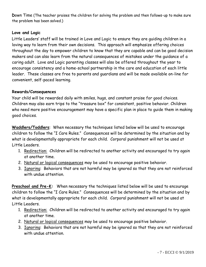**D**own Time (The teacher praises the children for solving the problem and then follows-up to make sure the problem has been solved.)

#### **Love and Logic**

Little Leaders' staff will be trained in Love and Logic to ensure they are guiding children in a loving way to learn from their own decisions. This approach will emphasize offering choices throughout the day to empower children to know that they are capable and can be good decision makers and can also learn from the natural consequences of mistakes under the guidance of a caring adult. Love and Logic parenting classes will also be offered throughout the year to encourage consistency and a home-school partnership in the care and education of each little leader. These classes are free to parents and guardians and will be made available on-line for convenient, self-paced learning.

#### **Rewards/Consequences**

Your child will be rewarded daily with smiles, hugs, and constant praise for good choices. Children may also earn trips to the "treasure box" for consistent, positive behavior. Children who need more positive encouragement may have a specific plan in place to guide them in making good choices.

**Waddlers/Toddlers**: When necessary the techniques listed below will be used to encourage children to follow the "I Care Rules." Consequences will be determined by the situation and by what is developmentally appropriate for each child. Corporal punishment will not be used at Little Leaders.

- 1. Redirection: Children will be redirected to another activity and encouraged to try again at another time.
- 2. Natural or logical consequences may be used to encourage positive behavior.
- 3. Ignoring: Behaviors that are not harmful may be ignored so that they are not reinforced with undue attention.

**Preschool and Pre-K:** When necessary the techniques listed below will be used to encourage children to follow the "I Care Rules." Consequences will be determined by the situation and by what is developmentally appropriate for each child. Corporal punishment will not be used at Little Leaders.

- 1. Redirection: Children will be redirected to another activity and encouraged to try again at another time.
- 2. Natural or logical consequences may be used to encourage positive behavior.
- 3. Ignoring: Behaviors that are not harmful may be ignored so that they are not reinforced with undue attention.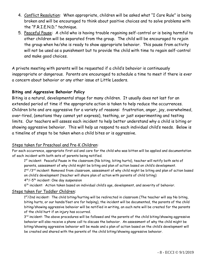- 4. Conflict Resolution: When appropriate, children will be asked what "I Care Rule" is being broken and will be encouraged to think about positive choices and to solve problems with the "F.R.I.E.N.D." technique.
- 5. Peaceful Pause: A child who is having trouble regaining self-control or is being harmful to other children will be separated from the group. The child will be encouraged to rejoin the group when he/she is ready to show appropriate behavior. This pause from activity will not be used as a punishment but to provide the child with time to regain self-control and make good choices.

A private meeting with parents will be requested if a child's behavior is continuously inappropriate or dangerous. Parents are encouraged to schedule a time to meet if there is ever a concern about behavior or any other issue at Little Leaders.

#### **Biting and Aggressive Behavior Policy**

Biting is a natural, developmental stage for many children. It usually does not last for an extended period of time if the appropriate action is taken to help reduce the occurrences. Children bite and are aggressive for a variety of reasons: frustration, anger, joy, overwhelmed, over-tired, (emotions they cannot yet express), teething, or just experimenting and testing limits. Our teachers will assess each incident to help better understand why a child is biting or showing aggressive behavior. This will help us respond to each individual child's needs. Below is a timeline of steps to be taken when a child bites or is aggressive.

#### Steps taken for Preschool and Pre-K Children:

For each occurrence, appropriate first aid and care for the child who was bitten will be applied and documentation of each incident with both sets of parents being notified.

1<sup>st</sup> incident: Peaceful Pause in the classroom (No biting, biting hurts), teacher will notify both sets of parents, assessment of why child might be biting and plan of action based on child's development. 2<sup>nd</sup> /3<sup>rd</sup> incident: Removed from classroom, assessment of why child might be biting and plan of action based on child's development (teacher will share plan of action with parents of child biting) 4 th/-5 th incident: One day suspension

6 th incident: Action taken based on individual child's age, development, and severity of behavior.

#### Steps taken for Toddler Children:

1<sup>st</sup>/2nd incident: The child biting/hurting will be redirected in classroom (The teacher will say No biting, biting hurts, or our hands/feet are for helping), the incident will be documented, the parents of the child biting/showing aggressive behavior will be notified in writing, an ouch note will be created for the parents of the child hurt if an injury has occurred.

3<sup>rd</sup> incident: The above procedures will be followed and the parents of the child biting/showing aggressive behavior will also receive a phone call to discuss the behavior. An assessment of why the child might be biting/showing aggressive behavior will be made and a plan of action based on the child's development will be created and shared with the parents of the child biting/showing aggressive behavior.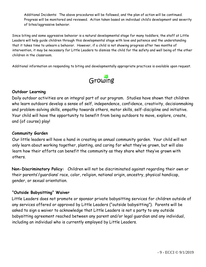Additional Incidents: The above procedures will be followed, and the plan of action will be continued. Progress will be monitored and reviewed. Action taken based on individual child's development and severity of bites/aggressive behavior.

Since biting and some aggressive behavior is a natural developmental stage for many toddlers, the staff at Little Leaders will help guide children through this developmental stage with love and patience and the understanding that it takes time to unlearn a behavior. However, if a child is not showing progress after two months of intervention, it may be necessary for Little Leaders to dismiss the child for the safety and well being of the other children in the classroom.

Additional information on responding to biting and developmentally appropriate practices is available upon request.



#### **Outdoor Learning**

Daily outdoor activities are an integral part of our program. Studies have shown that children who learn outdoors develop a sense of self, independence, confidence, creativity, decisionmaking and problem-solving skills, empathy towards others, motor skills, self-discipline and initiative. Your child will have the opportunity to benefit from being outdoors to move, explore, create, and (of course) play!

#### **Community Garden**

Our little leaders will have a hand in creating an annual community garden. Your child will not only learn about working together, planting, and caring for what they've grown, but will also learn how their efforts can benefit the community as they share what they've grown with others.

**Non-Discriminatory Policy:** Children will not be discriminated against regarding their own or their parents'/guardians' race, color, religion, national origin, ancestry, physical handicap, gender, or sexual orientation.

#### **"Outside Babysitting" Waiver**

Little Leaders does not promote or sponsor private babysitting services for children outside of any services offered or approved by Little Leaders ("outside babysitting"). Parents will be asked to sign a waiver to acknowledge that Little Leaders is not a party to any outside babysitting agreement reached between any parent and/or legal guardian and any individual, including an individual who is currently employed by Little Leaders.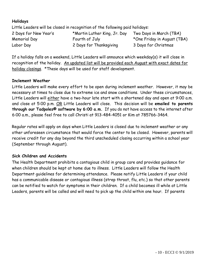#### **Holidays**

Little Leaders will be closed in recognition of the following paid holidays: 2 Days for New Year's \*Martin Luther King, Jr. Day Two Days in March (TBA) Memorial Day **Fourth of July** \*One Friday in August (TBA) Labor Day 2 Days for Thanksgiving 3 Days for Christmas

If a holiday falls on a weekend, Little Leaders will announce which weekday(s) it will close in recognition of the holiday. An updated list will be provided each August with exact dates for holiday closings. \*These days will be used for staff development.

#### **Inclement Weather**

Little Leaders will make every effort to be open during inclement weather. However, it may be necessary at times to close due to extreme ice and snow conditions. Under these circumstances, Little Leaders will either have a two-hour late start with a shortened day and open at 9:00 a.m. and close at 5:00 p.m. OR Little Leaders will close. This decision will be **emailed to parents through our Tadpoles® software by 6:00 a.m.** If you do not have access to the internet after 6:00 a.m., please feel free to call Christi at 913-484-4051 or Kim at 785766-3464.

Regular rates will apply on days when Little Leaders is closed due to inclement weather or any other unforeseen circumstance that would force the center to be closed. However, parents will receive credit for any day beyond the third unscheduled closing occurring within a school year (September through August).

#### **Sick Children and Accidents**

The Health Department prohibits a contagious child in group care and provides guidance for when children should be kept at home due to illness. Little Leaders will follow the Health Department guidelines for determining attendance. Please notify Little Leaders if your child has a communicable disease or contagious illness (strep throat, flu, etc.) so that other parents can be notified to watch for symptoms in their children. If a child becomes ill while at Little Leaders, parents will be called and will need to pick up the child within one hour. If parents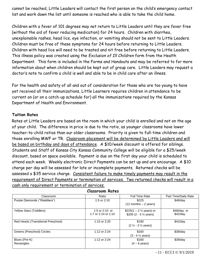cannot be reached, Little Leaders will contact the first person on the child's emergency contact list and work down the list until someone is reached who is able to take the child home.

Children with a fever of 101 degrees may not return to Little Leaders until they are fever free (without the aid of fever reducing medication) for 24 hours. Children with diarrhea, unexplainable rashes, head lice, eye infection, or vomiting should not be sent to Little Leaders. Children must be free of these symptoms for 24 hours before returning to Little Leaders. Children with head lice will need to be treated and nit free before returning to Little Leaders. This illness policy was created using the *Exclusion of Ill Children* form from the Health Department. This form is included in the Forms and Handouts and may be referred to for more information about when children should be kept out of group care. Little Leaders may request a doctor's note to confirm a child is well and able to be in child care after an illness.

For the health and safety of all and out of consideration for those who are too young to have yet received all their immunizations, Little Learners requires children in attendance to be current on (or on a catch-up schedule for) all the immunizations required by the Kansas Department of Health and Environment.

#### **Tuition Rates**

Rates at Little Leaders are based on the room in which your child is enrolled and not on the age of your child. The difference in price is due to the ratio, as younger classrooms have lower teacher-to-child ratios than our older classrooms. Priority is given to full-time children and those enrolling MWF or TR. Classroom placement will be determined by Little Leaders and will be based on birthday and days of attendance. A \$10/week discount is offered for siblings. Students and Staff of Kansas City Kansas Community College will be eligible for a \$25/week discount, based on space available. Payment is due on the first day your child is scheduled to attend each week. Weekly electronic Direct Payments can be set up and are encourage. A \$10 charge per day will be assessed for late or incomplete payments. Returned checks will be assessed a \$35 service charge. Consistent failure to make timely payments may result in the requirement of Direct Payments or termination of services. Two returned checks will result in a cash only requirement or termination of services.

| .                                   |                                         |                                                                          |                           |  |
|-------------------------------------|-----------------------------------------|--------------------------------------------------------------------------|---------------------------|--|
| Classroom                           | Ratio                                   | <b>Full Time Rate</b>                                                    | Part Time/Daily Rate      |  |
| Purple Diamonds ("Waddlers")        | 1:5 or 2:10                             | \$225<br>$(12$ months $-2$ years)                                        | $$48$ /day                |  |
| <b>Yellow Stars (Toddlers)</b>      | 1:5 or $2:10$ or<br>1:7 or 2:14 or 1:10 | \$225(1 – 2 $\frac{1}{2}$ years) or<br>\$200 (2 - 3 $\frac{1}{2}$ years) | \$48/day or<br>$$42$ /day |  |
| Red Hearts (Transitional Preschool) | 1:10 or 2:20                            | \$190<br>$(2 \frac{1}{2} - 3 \frac{1}{2} \text{ years})$                 | $$42$ /day                |  |
| Greens (Preschool) Circles          | 1:12 or 2:24                            | \$160<br>(3 - 4 ½ years)                                                 | \$38/dav                  |  |
| Blues (Pre-K)<br>Rectangles         | 1:12 or 2:24                            | \$160<br>$(4-6 \text{ years})$                                           | \$38/dav                  |  |

#### **Classroom Rates**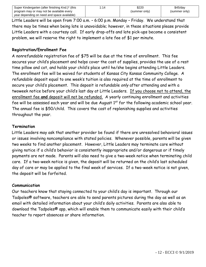| Super Kindergarten (after finishing Knd.)* (this | 1:14 | \$220         | $$45$ /day    |
|--------------------------------------------------|------|---------------|---------------|
| program may or may not be available every        |      | (summer only) | (summer only) |
| year depending on need and space available)      |      |               |               |

Little Leaders will be open from 7:00 a.m. – 6:00 p.m. Monday – Friday. We understand that there may be times when being late is unavoidable; however, in these situations please provide Little Leaders with a courtesy call. If early drop-offs and late pick-ups become a consistent problem, we will reserve the right to implement a late fee of \$1 per minute.

#### **Registration/Enrollment Fee**

A *nonrefundable* registration fee of \$75 will be due at the time of enrollment. This fee secures your child's placement and helps cover the cost of supplies, provides the use of a rest time pillow and cot, and holds your child's place until he/she begins attending Little Leaders. The enrollment fee will be waived for students of Kansas City Kansas Community College. A *refundable* deposit equal to one week's tuition is also required at the time of enrollment to secure your child's placement. This deposit is refundable *only* after attending and with a twoweek notice before your child's last day at Little Leaders. If you choose not to attend, the enrollment fee **and** deposit will not be refunded. A yearly continuing enrollment and activities fee will be assessed each year and will be due August  $1<sup>st</sup>$  for the following academic school year. The annual fee is \$50/child. This covers the cost of replenishing supplies and activities throughout the year.

#### **Termination**

Little Leaders may ask that another provider be found if there are unresolved behavioral issues or issues involving noncompliance with stated policies. Whenever possible, parents will be given two weeks to find another placement. However, Little Leaders may terminate care without giving notice if a child's behavior is consistently inappropriate and/or dangerous or if timely payments are not made. Parents will also need to give a two-week notice when terminating child care. If a two-week notice is given, the deposit will be returned on the child's last scheduled day of care or may be applied to the final week of services. If a two-week notice is not given, the deposit will be forfeited.

#### **Communication**

Our teachers know that staying connected to your child's day is important. Through our Tadpoles® software, teachers are able to send parents pictures during the day as well as an email with detailed information about your child's daily activities. Parents are also able to download the Tadpoles® app, which will enable them to communicate easily with their child's teacher to report absences or share information.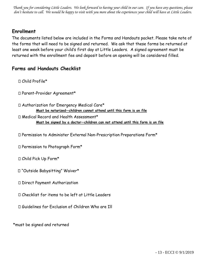*Thank you for considering Little Leaders. We look forward to having your child in our care. If you have any questions, please don't hesitate to call. We would be happy to visit with you more about the experiences your child will have at Little Leaders.* 

#### **Enrollment**

The documents listed below are included in the Forms and Handouts packet. Please take note of the forms that will need to be signed and returned. We ask that these forms be returned at least one week before your child's first day at Little Leaders. A signed agreement must be returned with the enrollment fee and deposit before an opening will be considered filled.

#### **Forms and Handouts Checklist**

- Child Profile\*
- Parent-Provider Agreement\*
- Authorization for Emergency Medical Care\* **Must be notarized—children cannot attend until this form is on file**
- Medical Record and Health Assessment\* **Must be signed by a doctor—children can not attend until this form is on file**
- Permission to Administer External Non-Prescription Preparations Form\*
- Permission to Photograph Form\*
- Child Pick Up Form\*
- "Outside Babysitting" Waiver\*
- Direct Payment Authorization
- Checklist for items to be left at Little Leaders
- Guidelines for Exclusion of Children Who are Ill

\*must be signed and returned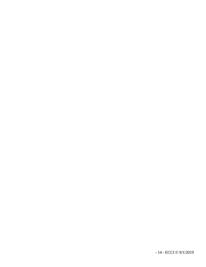- 14 - ECCI © 9/1/2019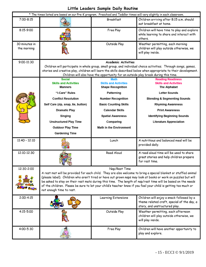#### **Little Leaders Sample Daily Routine**

| * The times listed are based on our Pre-K program. Preschool and Toddler times will vary slightly in each classroom. |                                                                                                                                                                                                                                                                                                                                                                                                                                                                                                                 |                                                                                                                                                                                                                                                                |                                                                                                                                                                                                                                                                                   |  |  |
|----------------------------------------------------------------------------------------------------------------------|-----------------------------------------------------------------------------------------------------------------------------------------------------------------------------------------------------------------------------------------------------------------------------------------------------------------------------------------------------------------------------------------------------------------------------------------------------------------------------------------------------------------|----------------------------------------------------------------------------------------------------------------------------------------------------------------------------------------------------------------------------------------------------------------|-----------------------------------------------------------------------------------------------------------------------------------------------------------------------------------------------------------------------------------------------------------------------------------|--|--|
| $7:00 - 8:15$                                                                                                        |                                                                                                                                                                                                                                                                                                                                                                                                                                                                                                                 | <b>Breakfast</b>                                                                                                                                                                                                                                               | Children arriving after 8:15 a.m. should<br>eat breakfast at home.                                                                                                                                                                                                                |  |  |
| 8:15-9:00                                                                                                            |                                                                                                                                                                                                                                                                                                                                                                                                                                                                                                                 | Free Play                                                                                                                                                                                                                                                      | Children will have time to play and explore<br>while learning to share and interact with<br>others.                                                                                                                                                                               |  |  |
| 30 minutes in<br>the morning                                                                                         |                                                                                                                                                                                                                                                                                                                                                                                                                                                                                                                 | Outside Play                                                                                                                                                                                                                                                   | Weather permitting, each morning<br>children will play outside otherwise, we<br>will play inside.                                                                                                                                                                                 |  |  |
| 9:00-11:30                                                                                                           | <b>Academic Activities</b><br>Children will participate in whole group, small group, and individual choice activities. Through songs, games,<br>stories and creative play, children will learn the skills described below when appropriate to their development.<br>Children will also have the opportunity for an outside play break during this time.                                                                                                                                                         |                                                                                                                                                                                                                                                                |                                                                                                                                                                                                                                                                                   |  |  |
|                                                                                                                      | <b>Social</b><br><b>Skills and Activities</b><br><b>Manners</b><br>"I-Care" Rules<br><b>Conflict Resolution</b><br>Self Care (zip, snap, tie, button)<br><b>Dramatic Play</b><br>Singing<br><b>Unstructured Play Time</b><br><b>Outdoor Play Time</b><br><b>Gardening Time</b>                                                                                                                                                                                                                                  | <b>Math</b><br><b>Skills and Activities</b><br><b>Shape Recognition</b><br><b>Patterning</b><br><b>Number Recognition</b><br><b>Basic Counting Skills</b><br><b>Calendar Skills</b><br><b>Spatial Awareness</b><br>Comparing<br><b>Math in the Environment</b> | <b>Reading Readiness</b><br><b>Skills and Activities</b><br><b>The Alphabet</b><br><b>Letter Sounds</b><br><b>Blending &amp; Segmenting Sounds</b><br><b>Rhyming Awareness</b><br><b>Print Awareness</b><br><b>Identifying Beginning Sounds</b><br><b>Literature Appreciation</b> |  |  |
| $11:40 - 12:10$                                                                                                      |                                                                                                                                                                                                                                                                                                                                                                                                                                                                                                                 | Lunch                                                                                                                                                                                                                                                          | A nutritious and balanced meal will be<br>provided daily.                                                                                                                                                                                                                         |  |  |
| 12:10-12:30                                                                                                          | 口息                                                                                                                                                                                                                                                                                                                                                                                                                                                                                                              | <b>Read Aloud</b>                                                                                                                                                                                                                                              | A read aloud time will be used to share<br>great stories and help children prepare<br>for rest time.                                                                                                                                                                              |  |  |
| 12:30-2:00                                                                                                           | Nap/Rest Time<br>A rest mat will be provided for each child. They are also welcome to bring a special blanket or stuffed animal<br>(please label). Children who aren't tired or have out grown naps may look at books or work on puzzles but will<br>be asked to stay on their rest mats during this time. The length of nap/rest time will be based on the needs<br>of the children. Please be sure to let your child's teacher know if you feel your child is getting too much or<br>not enough time to rest. |                                                                                                                                                                                                                                                                |                                                                                                                                                                                                                                                                                   |  |  |
| $2:00 - 4:15$                                                                                                        |                                                                                                                                                                                                                                                                                                                                                                                                                                                                                                                 | Learning Extensions                                                                                                                                                                                                                                            | Children will enjoy a snack followed by a<br>theme related craft, special of the day, a<br>story, and unstructured play.                                                                                                                                                          |  |  |
| 4:15-5:00                                                                                                            |                                                                                                                                                                                                                                                                                                                                                                                                                                                                                                                 | Outside Play                                                                                                                                                                                                                                                   | Weather permitting, each afternoon<br>children will play outside otherwise, we<br>will play inside.                                                                                                                                                                               |  |  |
| 4:00-5:30                                                                                                            |                                                                                                                                                                                                                                                                                                                                                                                                                                                                                                                 | Free Play                                                                                                                                                                                                                                                      | Children will have another opportunity to<br>play and explore.                                                                                                                                                                                                                    |  |  |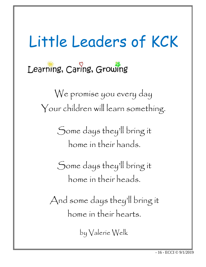## Little Leaders of KCK

### Learning, Caring, Growing

We promise you every day Your children will learn something.

> Some days they'll bring it home in their hands.

> Some days they'll bring it home in their heads.

And some days they'll bring it home in their hearts.

by Valerie Welk